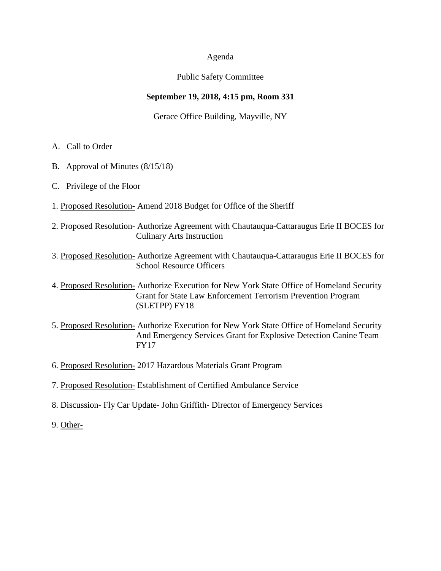#### Agenda

## Public Safety Committee

## **September 19, 2018, 4:15 pm, Room 331**

## Gerace Office Building, Mayville, NY

- A. Call to Order
- B. Approval of Minutes (8/15/18)
- C. Privilege of the Floor
- 1. Proposed Resolution- Amend 2018 Budget for Office of the Sheriff
- 2. Proposed Resolution- Authorize Agreement with Chautauqua-Cattaraugus Erie II BOCES for Culinary Arts Instruction
- 3. Proposed Resolution- Authorize Agreement with Chautauqua-Cattaraugus Erie II BOCES for School Resource Officers
- 4. Proposed Resolution- Authorize Execution for New York State Office of Homeland Security Grant for State Law Enforcement Terrorism Prevention Program (SLETPP) FY18
- 5. Proposed Resolution- Authorize Execution for New York State Office of Homeland Security And Emergency Services Grant for Explosive Detection Canine Team FY17
- 6. Proposed Resolution- 2017 Hazardous Materials Grant Program
- 7. Proposed Resolution- Establishment of Certified Ambulance Service
- 8. Discussion- Fly Car Update- John Griffith- Director of Emergency Services
- 9. Other-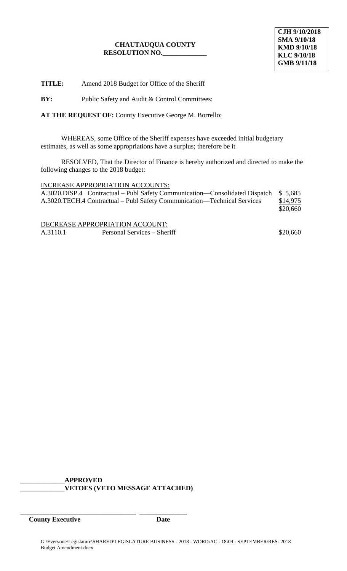**TITLE:** Amend 2018 Budget for Office of the Sheriff

**BY:** Public Safety and Audit & Control Committees:

**AT THE REQUEST OF:** County Executive George M. Borrello:

WHEREAS, some Office of the Sheriff expenses have exceeded initial budgetary estimates, as well as some appropriations have a surplus; therefore be it

RESOLVED, That the Director of Finance is hereby authorized and directed to make the following changes to the 2018 budget:

#### INCREASE APPROPRIATION ACCOUNTS:

| A.3020.DISP.4 Contractual – Publ Safety Communication—Consolidated Dispatch \$5,685 |          |
|-------------------------------------------------------------------------------------|----------|
| A.3020.TECH.4 Contractual – Publ Safety Communication—Technical Services            | \$14,975 |
|                                                                                     | \$20,660 |
|                                                                                     |          |

DECREASE APPROPRIATION ACCOUNT: A.3110.1 Personal Services – Sheriff  $$20,660$ 

**\_\_\_\_\_\_\_\_\_\_\_\_\_APPROVED \_\_\_\_\_\_\_\_\_\_\_\_\_VETOES (VETO MESSAGE ATTACHED)**

\_\_\_\_\_\_\_\_\_\_\_\_\_\_\_\_\_\_\_\_\_\_\_\_\_\_\_\_\_\_\_\_\_\_ \_\_\_\_\_\_\_\_\_\_\_\_\_\_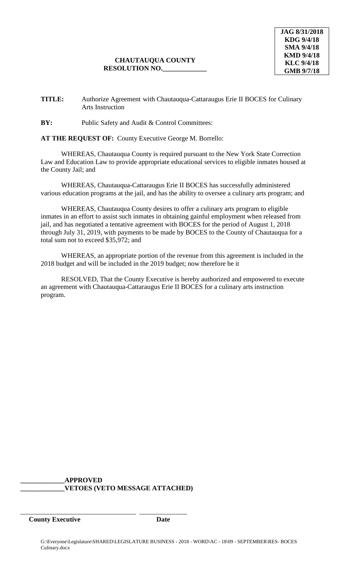## **TITLE:** Authorize Agreement with Chautauqua-Cattaraugus Erie II BOCES for Culinary Arts Instruction

## **BY:** Public Safety and Audit & Control Committees:

## **AT THE REQUEST OF:** County Executive George M. Borrello:

WHEREAS, Chautauqua County is required pursuant to the New York State Correction Law and Education Law to provide appropriate educational services to eligible inmates housed at the County Jail; and

WHEREAS, Chautauqua-Cattaraugus Erie II BOCES has successfully administered various education programs at the jail, and has the ability to oversee a culinary arts program; and

WHEREAS, Chautauqua County desires to offer a culinary arts program to eligible inmates in an effort to assist such inmates in obtaining gainful employment when released from jail, and has negotiated a tentative agreement with BOCES for the period of August 1, 2018 through July 31, 2019, with payments to be made by BOCES to the County of Chautauqua for a total sum not to exceed \$35,972; and

WHEREAS, an appropriate portion of the revenue from this agreement is included in the 2018 budget and will be included in the 2019 budget; now therefore be it

RESOLVED, That the County Executive is hereby authorized and empowered to execute an agreement with Chautauqua-Cattaraugus Erie II BOCES for a culinary arts instruction program.

**\_\_\_\_\_\_\_\_\_\_\_\_\_APPROVED \_\_\_\_\_\_\_\_\_\_\_\_\_VETOES (VETO MESSAGE ATTACHED)**

\_\_\_\_\_\_\_\_\_\_\_\_\_\_\_\_\_\_\_\_\_\_\_\_\_\_\_\_\_\_\_\_\_\_ \_\_\_\_\_\_\_\_\_\_\_\_\_\_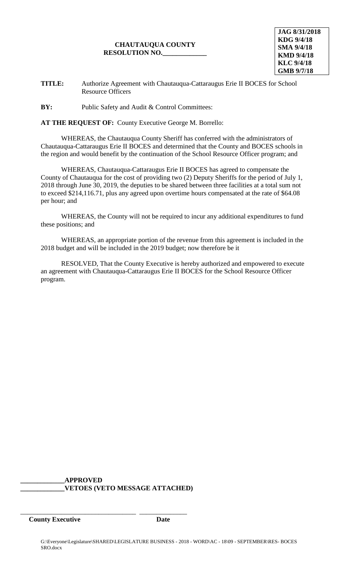**JAG 8/31/2018 KDG 9/4/18 SMA 9/4/18 KMD 9/4/18 KLC 9/4/18 GMB 9/7/18**

**TITLE:** Authorize Agreement with Chautauqua-Cattaraugus Erie II BOCES for School Resource Officers

**BY:** Public Safety and Audit & Control Committees:

**AT THE REQUEST OF:** County Executive George M. Borrello:

WHEREAS, the Chautauqua County Sheriff has conferred with the administrators of Chautauqua-Cattaraugus Erie II BOCES and determined that the County and BOCES schools in the region and would benefit by the continuation of the School Resource Officer program; and

WHEREAS, Chautauqua-Cattaraugus Erie II BOCES has agreed to compensate the County of Chautauqua for the cost of providing two (2) Deputy Sheriffs for the period of July 1, 2018 through June 30, 2019, the deputies to be shared between three facilities at a total sum not to exceed \$214,116.71, plus any agreed upon overtime hours compensated at the rate of \$64.08 per hour; and

WHEREAS, the County will not be required to incur any additional expenditures to fund these positions; and

WHEREAS, an appropriate portion of the revenue from this agreement is included in the 2018 budget and will be included in the 2019 budget; now therefore be it

RESOLVED, That the County Executive is hereby authorized and empowered to execute an agreement with Chautauqua-Cattaraugus Erie II BOCES for the School Resource Officer program.

**\_\_\_\_\_\_\_\_\_\_\_\_\_APPROVED \_\_\_\_\_\_\_\_\_\_\_\_\_VETOES (VETO MESSAGE ATTACHED)**

\_\_\_\_\_\_\_\_\_\_\_\_\_\_\_\_\_\_\_\_\_\_\_\_\_\_\_\_\_\_\_\_\_\_ \_\_\_\_\_\_\_\_\_\_\_\_\_\_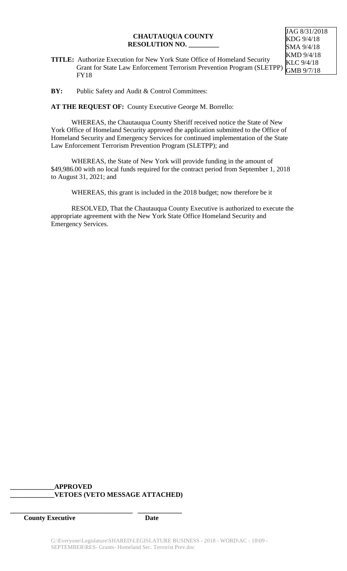**TITLE:** Authorize Execution for New York State Office of Homeland Security Grant for State Law Enforcement Terrorism Prevention Program (SLETPP) FY18

**BY:** Public Safety and Audit & Control Committees:

**AT THE REQUEST OF:** County Executive George M. Borrello:

WHEREAS, the Chautauqua County Sheriff received notice the State of New York Office of Homeland Security approved the application submitted to the Office of Homeland Security and Emergency Services for continued implementation of the State Law Enforcement Terrorism Prevention Program (SLETPP); and

WHEREAS, the State of New York will provide funding in the amount of \$49,986.00 with no local funds required for the contract period from September 1, 2018 to August 31, 2021; and

WHEREAS, this grant is included in the 2018 budget; now therefore be it

RESOLVED, That the Chautauqua County Executive is authorized to execute the appropriate agreement with the New York State Office Homeland Security and Emergency Services.

## **\_\_\_\_\_\_\_\_\_\_\_\_\_APPROVED \_\_\_\_\_\_\_\_\_\_\_\_\_VETOES (VETO MESSAGE ATTACHED)**

**\_\_\_\_\_\_\_\_\_\_\_\_\_\_\_\_\_\_\_\_\_\_\_\_\_\_\_\_\_\_\_\_\_\_\_\_ \_\_\_\_\_\_\_\_\_\_\_\_\_**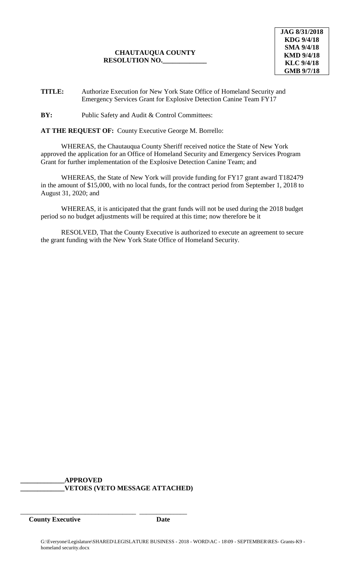**TITLE:** Authorize Execution for New York State Office of Homeland Security and Emergency Services Grant for Explosive Detection Canine Team FY17

**BY:** Public Safety and Audit & Control Committees:

**AT THE REQUEST OF:** County Executive George M. Borrello:

WHEREAS, the Chautauqua County Sheriff received notice the State of New York approved the application for an Office of Homeland Security and Emergency Services Program Grant for further implementation of the Explosive Detection Canine Team; and

WHEREAS, the State of New York will provide funding for FY17 grant award T182479 in the amount of \$15,000, with no local funds, for the contract period from September 1, 2018 to August 31, 2020; and

WHEREAS, it is anticipated that the grant funds will not be used during the 2018 budget period so no budget adjustments will be required at this time; now therefore be it

RESOLVED, That the County Executive is authorized to execute an agreement to secure the grant funding with the New York State Office of Homeland Security.

**\_\_\_\_\_\_\_\_\_\_\_\_\_APPROVED \_\_\_\_\_\_\_\_\_\_\_\_\_VETOES (VETO MESSAGE ATTACHED)**

\_\_\_\_\_\_\_\_\_\_\_\_\_\_\_\_\_\_\_\_\_\_\_\_\_\_\_\_\_\_\_\_\_\_ \_\_\_\_\_\_\_\_\_\_\_\_\_\_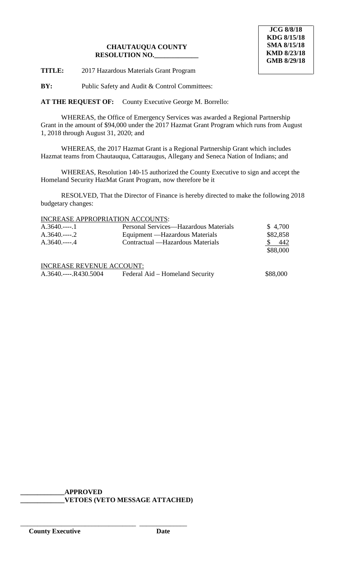**TITLE:** 2017 Hazardous Materials Grant Program

**BY:** Public Safety and Audit & Control Committees:

**AT THE REQUEST OF:** County Executive George M. Borrello:

WHEREAS, the Office of Emergency Services was awarded a Regional Partnership Grant in the amount of \$94,000 under the 2017 Hazmat Grant Program which runs from August 1, 2018 through August 31, 2020; and

WHEREAS, the 2017 Hazmat Grant is a Regional Partnership Grant which includes Hazmat teams from Chautauqua, Cattaraugus, Allegany and Seneca Nation of Indians; and

WHEREAS, Resolution 140-15 authorized the County Executive to sign and accept the Homeland Security HazMat Grant Program, now therefore be it

RESOLVED, That the Director of Finance is hereby directed to make the following 2018 budgetary changes:

## INCREASE APPROPRIATION ACCOUNTS:

| $A.3640$ 1                       | Personal Services—Hazardous Materials | \$4,700  |
|----------------------------------|---------------------------------------|----------|
| $A.3640$ 2                       | Equipment — Hazardous Materials       | \$82,858 |
| $A.3640$ 4                       | Contractual — Hazardous Materials     | 442      |
|                                  |                                       | \$88,000 |
| <b>INCREASE REVENUE ACCOUNT:</b> |                                       |          |
|                                  |                                       |          |
| A.3640.----.R430.5004            | Federal Aid – Homeland Security       | \$88,000 |

**\_\_\_\_\_\_\_\_\_\_\_\_\_APPROVED \_\_\_\_\_\_\_\_\_\_\_\_\_VETOES (VETO MESSAGE ATTACHED)**

\_\_\_\_\_\_\_\_\_\_\_\_\_\_\_\_\_\_\_\_\_\_\_\_\_\_\_\_\_\_\_\_\_\_ \_\_\_\_\_\_\_\_\_\_\_\_\_\_